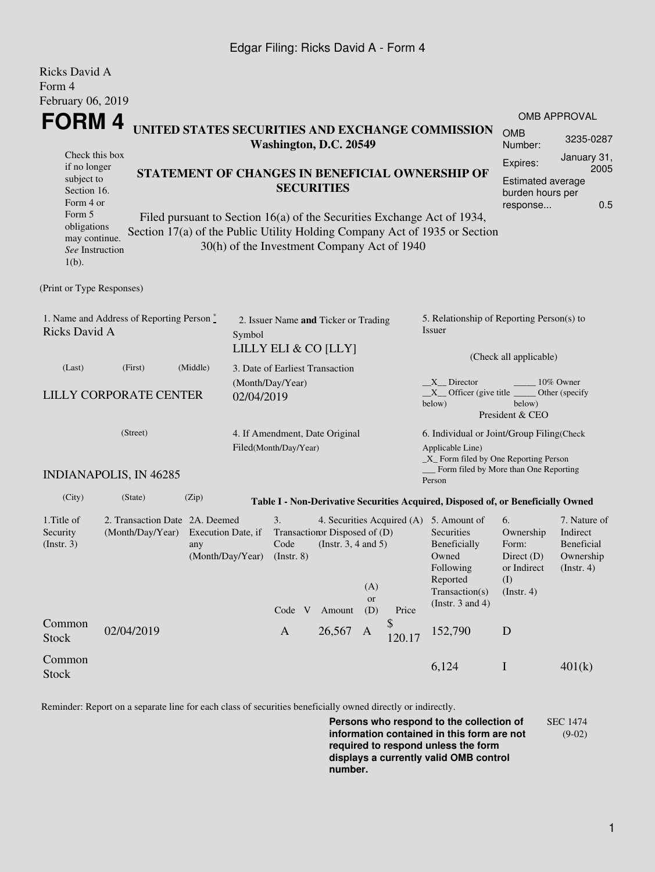## Edgar Filing: Ricks David A - Form 4

| Ricks David A<br>Form 4                                                                                                                                                                                                                                                                                                                                                                                                                                                                                   |                                                                                      |                                               |                                 |                                |                                                              |                                                                                                                                      |                                                                               |                                                                                                                                                    |                                                                                  |                                                                          |  |
|-----------------------------------------------------------------------------------------------------------------------------------------------------------------------------------------------------------------------------------------------------------------------------------------------------------------------------------------------------------------------------------------------------------------------------------------------------------------------------------------------------------|--------------------------------------------------------------------------------------|-----------------------------------------------|---------------------------------|--------------------------------|--------------------------------------------------------------|--------------------------------------------------------------------------------------------------------------------------------------|-------------------------------------------------------------------------------|----------------------------------------------------------------------------------------------------------------------------------------------------|----------------------------------------------------------------------------------|--------------------------------------------------------------------------|--|
| February 06, 2019                                                                                                                                                                                                                                                                                                                                                                                                                                                                                         |                                                                                      |                                               |                                 |                                |                                                              |                                                                                                                                      |                                                                               |                                                                                                                                                    |                                                                                  |                                                                          |  |
|                                                                                                                                                                                                                                                                                                                                                                                                                                                                                                           | FORM 4<br>UNITED STATES SECURITIES AND EXCHANGE COMMISSION<br>Washington, D.C. 20549 |                                               |                                 |                                |                                                              |                                                                                                                                      |                                                                               |                                                                                                                                                    | <b>OMB</b><br>Number:                                                            | <b>OMB APPROVAL</b><br>3235-0287                                         |  |
| Check this box<br>Expires:<br>if no longer<br>STATEMENT OF CHANGES IN BENEFICIAL OWNERSHIP OF<br>subject to<br><b>Estimated average</b><br><b>SECURITIES</b><br>Section 16.<br>burden hours per<br>Form 4 or<br>response<br>Form 5<br>Filed pursuant to Section 16(a) of the Securities Exchange Act of 1934,<br>obligations<br>Section 17(a) of the Public Utility Holding Company Act of 1935 or Section<br>may continue.<br>30(h) of the Investment Company Act of 1940<br>See Instruction<br>$1(b)$ . |                                                                                      |                                               |                                 |                                |                                                              |                                                                                                                                      |                                                                               |                                                                                                                                                    | January 31,<br>2005<br>0.5                                                       |                                                                          |  |
| (Print or Type Responses)                                                                                                                                                                                                                                                                                                                                                                                                                                                                                 |                                                                                      |                                               |                                 |                                |                                                              |                                                                                                                                      |                                                                               |                                                                                                                                                    |                                                                                  |                                                                          |  |
| 1. Name and Address of Reporting Person $\stackrel{*}{\mathbb{L}}$<br>Ricks David A                                                                                                                                                                                                                                                                                                                                                                                                                       |                                                                                      |                                               | Symbol                          |                                | 2. Issuer Name and Ticker or Trading<br>LILLY ELI & CO [LLY] |                                                                                                                                      | 5. Relationship of Reporting Person(s) to<br>Issuer<br>(Check all applicable) |                                                                                                                                                    |                                                                                  |                                                                          |  |
| (Last)                                                                                                                                                                                                                                                                                                                                                                                                                                                                                                    | (First)                                                                              | (Middle)                                      | 3. Date of Earliest Transaction |                                |                                                              |                                                                                                                                      |                                                                               |                                                                                                                                                    |                                                                                  |                                                                          |  |
| <b>LILLY CORPORATE CENTER</b>                                                                                                                                                                                                                                                                                                                                                                                                                                                                             |                                                                                      | 02/04/2019                                    | (Month/Day/Year)                |                                |                                                              | X Director<br>10% Owner<br>$X$ Officer (give title $\overline{\phantom{a}}$<br>Other (specify<br>below)<br>below)<br>President & CEO |                                                                               |                                                                                                                                                    |                                                                                  |                                                                          |  |
| (Street)                                                                                                                                                                                                                                                                                                                                                                                                                                                                                                  |                                                                                      |                                               |                                 | Filed(Month/Day/Year)          | 4. If Amendment, Date Original                               |                                                                                                                                      |                                                                               | 6. Individual or Joint/Group Filing(Check<br>Applicable Line)<br>$\_X$ Form filed by One Reporting Person<br>Form filed by More than One Reporting |                                                                                  |                                                                          |  |
|                                                                                                                                                                                                                                                                                                                                                                                                                                                                                                           | <b>INDIANAPOLIS, IN 46285</b>                                                        |                                               |                                 |                                |                                                              |                                                                                                                                      |                                                                               | Person                                                                                                                                             |                                                                                  |                                                                          |  |
| (City)                                                                                                                                                                                                                                                                                                                                                                                                                                                                                                    | (State)                                                                              | (Zip)                                         |                                 |                                |                                                              |                                                                                                                                      |                                                                               | Table I - Non-Derivative Securities Acquired, Disposed of, or Beneficially Owned                                                                   |                                                                                  |                                                                          |  |
| 1. Title of<br>Security<br>(Insert. 3)                                                                                                                                                                                                                                                                                                                                                                                                                                                                    | 2. Transaction Date 2A. Deemed<br>(Month/Day/Year)                                   | Execution Date, if<br>any<br>(Month/Day/Year) |                                 | 3.<br>Code<br>$($ Instr. 8 $)$ | Transaction Disposed of (D)<br>(Instr. $3, 4$ and $5$ )      | (A)<br><b>or</b>                                                                                                                     |                                                                               | 4. Securities Acquired (A) 5. Amount of<br>Securities<br>Beneficially<br>Owned<br>Following<br>Reported<br>Transaction(s)<br>(Instr. $3$ and $4$ ) | 6.<br>Ownership<br>Form:<br>Direct (D)<br>or Indirect<br>(I)<br>$($ Instr. 4 $)$ | 7. Nature of<br>Indirect<br><b>Beneficial</b><br>Ownership<br>(Instr. 4) |  |
| Common<br><b>Stock</b>                                                                                                                                                                                                                                                                                                                                                                                                                                                                                    | 02/04/2019                                                                           |                                               |                                 | Code V<br>$\mathbf{A}$         | Amount<br>26,567                                             | (D)<br>A                                                                                                                             | Price<br>\$<br>120.17                                                         | 152,790                                                                                                                                            | D                                                                                |                                                                          |  |
| Common<br><b>Stock</b>                                                                                                                                                                                                                                                                                                                                                                                                                                                                                    |                                                                                      |                                               |                                 |                                |                                                              |                                                                                                                                      |                                                                               | 6,124                                                                                                                                              | $\mathbf I$                                                                      | 401(k)                                                                   |  |

Reminder: Report on a separate line for each class of securities beneficially owned directly or indirectly.

**Persons who respond to the collection of information contained in this form are not required to respond unless the form displays a currently valid OMB control number.** SEC 1474 (9-02)